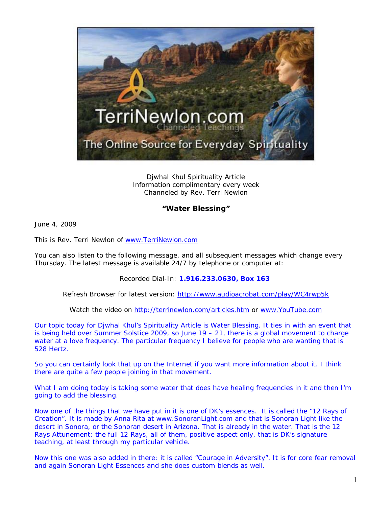

Djwhal Khul Spirituality Article Information complimentary every week Channeled by Rev. Terri Newlon

## **"Water Blessing"**

June 4, 2009

This is Rev. Terri Newlon of [www.TerriNewlon.com](http://www.terrinewlon.com/)

You can also listen to the following message, and all subsequent messages which change every Thursday. The latest message is available 24/7 by telephone or computer at:

## Recorded Dial-In: **1.916.233.0630, Box 163**

Refresh Browser for latest version: <http://www.audioacrobat.com/play/WC4rwp5k>

Watch the video on<http://terrinewlon.com/articles.htm> or [www.YouTube.com](http://www.youtube.com/)

Our topic today for Djwhal Khul's Spirituality Article is Water Blessing. It ties in with an event that is being held over Summer Solstice 2009, so June  $19 - 21$ , there is a global movement to charge water at a love frequency. The particular frequency I believe for people who are wanting that is 528 Hertz.

So you can certainly look that up on the Internet if you want more information about it. I think there are quite a few people joining in that movement.

What I am doing today is taking some water that does have healing frequencies in it and then I'm going to add the blessing.

Now one of the things that we have put in it is one of DK's essences. It is called the "12 Rays of Creation". It is made by Anna Rita at [www.SonoranLight.com](http://www.sonoranlight.com/) and that is Sonoran Light like the desert in Sonora, or the Sonoran desert in Arizona. That is already in the water. That is the 12 Rays Attunement: the full 12 Rays, all of them, positive aspect only, that is DK's signature teaching, at least through my particular vehicle.

Now this one was also added in there: it is called "Courage in Adversity". It is for core fear removal and again Sonoran Light Essences and she does custom blends as well.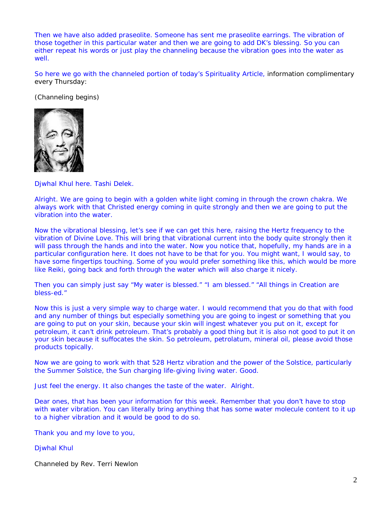Then we have also added praseolite. Someone has sent me praseolite earrings. The vibration of those together in this particular water and then we are going to add DK's blessing. So you can either repeat his words or just play the channeling because the vibration goes into the water as well

So here we go with the channeled portion of today's Spirituality Article, information complimentary every Thursday:

(Channeling begins)



Djwhal Khul here. Tashi Delek.

Alright. We are going to begin with a golden white light coming in through the crown chakra. We always work with that Christed energy coming in quite strongly and then we are going to put the vibration into the water.

Now the vibrational blessing, let's see if we can get this here, raising the Hertz frequency to the vibration of Divine Love. This will bring that vibrational current into the body quite strongly then it will pass through the hands and into the water. Now you notice that, hopefully, my hands are in a particular configuration here. It does not have to be that for you. You might want, I would say, to have some fingertips touching. Some of you would prefer something like this, which would be more like Reiki, going back and forth through the water which will also charge it nicely.

Then you can simply just say "My water is blessed." "I am blessed." "All things in Creation are *bless-ed*."

Now this is just a very simple way to charge water. I would recommend that you do that with food and any number of things but especially something you are going to ingest or something that you are going to put on your skin, because your skin will ingest whatever you put on it, except for petroleum, it can't drink petroleum. That's probably a good thing but it is also not good to put it on your skin because it suffocates the skin. So petroleum, petrolatum, mineral oil, please avoid those products topically.

Now we are going to work with that 528 Hertz vibration and the power of the Solstice, particularly the Summer Solstice, the Sun charging life-giving living water. Good.

Just feel the energy. It also changes the taste of the water. Alright.

Dear ones, that has been your information for this week. Remember that you don't have to stop with water vibration. You can literally bring anything that has some water molecule content to it up to a higher vibration and it would be good to do so.

Thank you and my love to you,

Djwhal Khul

Channeled by Rev. Terri Newlon